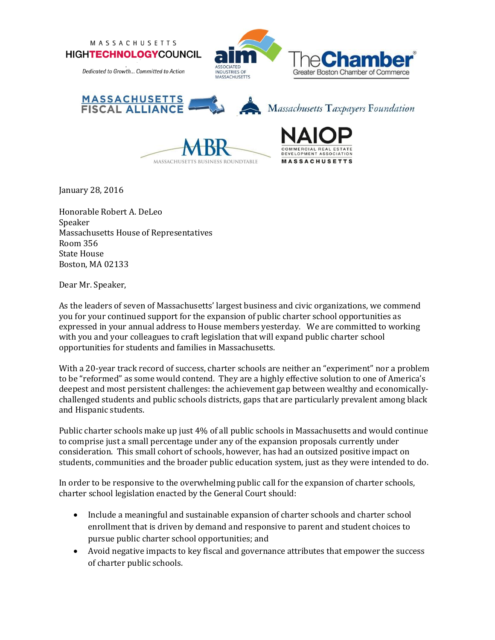





January 28, 2016

Honorable Robert A. DeLeo Speaker Massachusetts House of Representatives Room 356 State House Boston, MA 02133

Dear Mr. Speaker,

As the leaders of seven of Massachusetts' largest business and civic organizations, we commend you for your continued support for the expansion of public charter school opportunities as expressed in your annual address to House members yesterday. We are committed to working with you and your colleagues to craft legislation that will expand public charter school opportunities for students and families in Massachusetts.

With a 20-year track record of success, charter schools are neither an "experiment" nor a problem to be "reformed" as some would contend. They are a highly effective solution to one of America's deepest and most persistent challenges: the achievement gap between wealthy and economicallychallenged students and public schools districts, gaps that are particularly prevalent among black and Hispanic students.

Public charter schools make up just 4% of all public schools in Massachusetts and would continue to comprise just a small percentage under any of the expansion proposals currently under consideration. This small cohort of schools, however, has had an outsized positive impact on students, communities and the broader public education system, just as they were intended to do.

In order to be responsive to the overwhelming public call for the expansion of charter schools, charter school legislation enacted by the General Court should:

- Include a meaningful and sustainable expansion of charter schools and charter school enrollment that is driven by demand and responsive to parent and student choices to pursue public charter school opportunities; and
- Avoid negative impacts to key fiscal and governance attributes that empower the success of charter public schools.